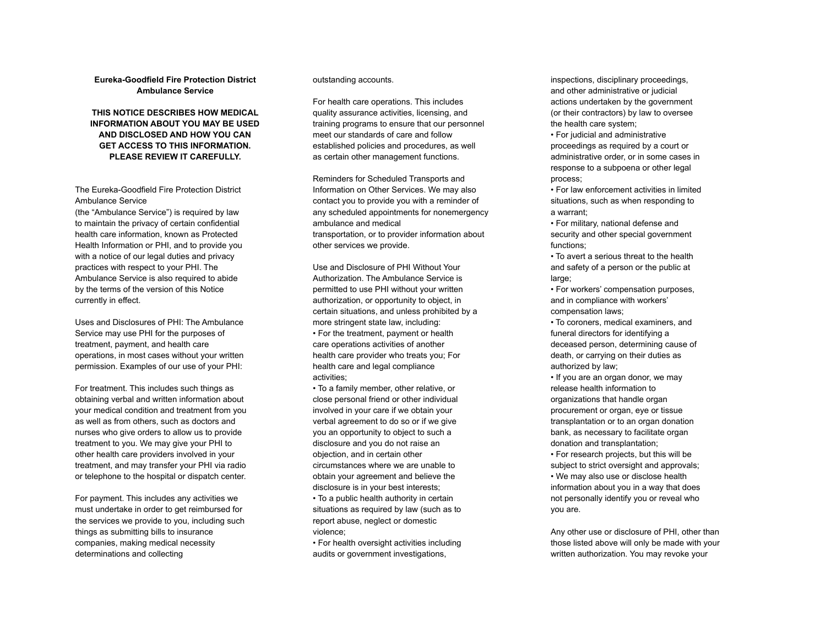**Eureka-Goodfield Fire Protection District Ambulance Service**

## **THIS NOTICE DESCRIBES HOW MEDICAL INFORMATION ABOUT YOU MAY BE USED AND DISCLOSED AND HOW YOU CAN GET ACCESS TO THIS INFORMATION. PLEASE REVIEW IT CAREFULLY.**

The Eureka-Goodfield Fire Protection District Ambulance Service

(the "Ambulance Service") is required by law to maintain the privacy of certain confidential health care information, known as Protected Health Information or PHI, and to provide you with a notice of our legal duties and privacy practices with respect to your PHI. The Ambulance Service is also required to abide by the terms of the version of this Notice currently in effect.

Uses and Disclosures of PHI: The Ambulance Service may use PHI for the purposes of treatment, payment, and health care operations, in most cases without your written permission. Examples of our use of your PHI:

For treatment. This includes such things as obtaining verbal and written information about your medical condition and treatment from you as well as from others, such as doctors and nurses who give orders to allow us to provide treatment to you. We may give your PHI to other health care providers involved in your treatment, and may transfer your PHI via radio or telephone to the hospital or dispatch center.

For payment. This includes any activities we must undertake in order to get reimbursed for the services we provide to you, including such things as submitting bills to insurance companies, making medical necessity determinations and collecting

outstanding accounts.

For health care operations. This includes quality assurance activities, licensing, and training programs to ensure that our personnel meet our standards of care and follow established policies and procedures, as well as certain other management functions.

Reminders for Scheduled Transports and Information on Other Services. We may also contact you to provide you with a reminder of any scheduled appointments for nonemergency ambulance and medical transportation, or to provider information about other services we provide.

Use and Disclosure of PHI Without Your Authorization. The Ambulance Service is permitted to use PHI without your written authorization, or opportunity to object, in certain situations, and unless prohibited by a more stringent state law, including: • For the treatment, payment or health care operations activities of another health care provider who treats you; For health care and legal compliance activities;

• To a family member, other relative, or close personal friend or other individual involved in your care if we obtain your verbal agreement to do so or if we give you an opportunity to object to such a disclosure and you do not raise an objection, and in certain other circumstances where we are unable to obtain your agreement and believe the disclosure is in your best interests;

• To a public health authority in certain situations as required by law (such as to report abuse, neglect or domestic violence;

• For health oversight activities including audits or government investigations,

inspections, disciplinary proceedings, and other administrative or judicial actions undertaken by the government (or their contractors) by law to oversee the health care system;

• For judicial and administrative proceedings as required by a court or administrative order, or in some cases in response to a subpoena or other legal process;

• For law enforcement activities in limited situations, such as when responding to a warrant;

• For military, national defense and security and other special government functions;

• To avert a serious threat to the health and safety of a person or the public at large:

• For workers' compensation purposes, and in compliance with workers' compensation laws;

• To coroners, medical examiners, and funeral directors for identifying a deceased person, determining cause of death, or carrying on their duties as authorized by law;

• If you are an organ donor, we may release health information to organizations that handle organ procurement or organ, eye or tissue transplantation or to an organ donation bank, as necessary to facilitate organ donation and transplantation;

• For research projects, but this will be subject to strict oversight and approvals; • We may also use or disclose health information about you in a way that does not personally identify you or reveal who you are.

Any other use or disclosure of PHI, other than those listed above will only be made with your written authorization. You may revoke your